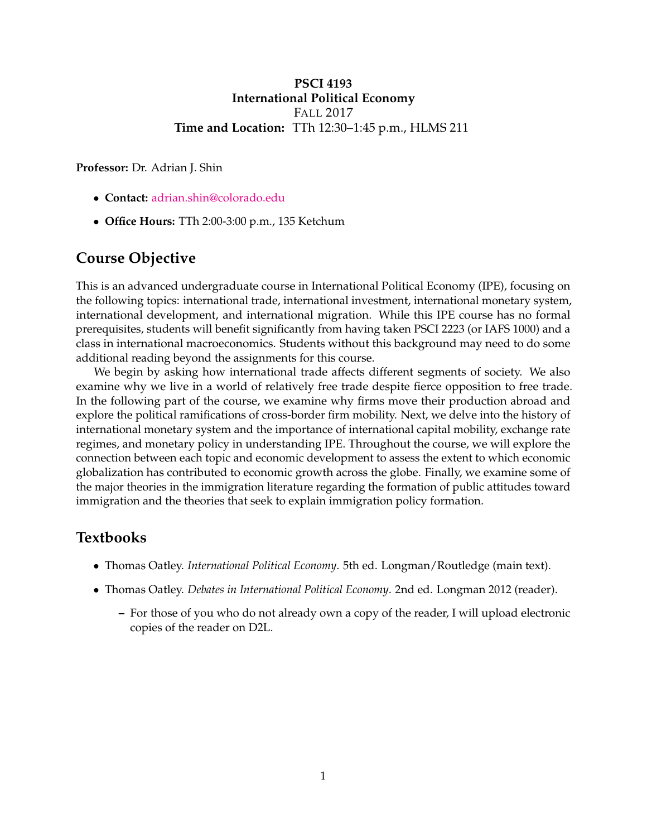### **PSCI 4193 International Political Economy** FALL 2017 **Time and Location:** TTh 12:30–1:45 p.m., HLMS 211

**Professor:** Dr. Adrian J. Shin

- **Contact:** [adrian.shin@colorado.edu](mailto:adrian.shin@colorado.edu)
- **Office Hours:** TTh 2:00-3:00 p.m., 135 Ketchum

## **Course Objective**

This is an advanced undergraduate course in International Political Economy (IPE), focusing on the following topics: international trade, international investment, international monetary system, international development, and international migration. While this IPE course has no formal prerequisites, students will benefit significantly from having taken PSCI 2223 (or IAFS 1000) and a class in international macroeconomics. Students without this background may need to do some additional reading beyond the assignments for this course.

We begin by asking how international trade affects different segments of society. We also examine why we live in a world of relatively free trade despite fierce opposition to free trade. In the following part of the course, we examine why firms move their production abroad and explore the political ramifications of cross-border firm mobility. Next, we delve into the history of international monetary system and the importance of international capital mobility, exchange rate regimes, and monetary policy in understanding IPE. Throughout the course, we will explore the connection between each topic and economic development to assess the extent to which economic globalization has contributed to economic growth across the globe. Finally, we examine some of the major theories in the immigration literature regarding the formation of public attitudes toward immigration and the theories that seek to explain immigration policy formation.

### **Textbooks**

- Thomas Oatley. *International Political Economy*. 5th ed. Longman/Routledge (main text).
- Thomas Oatley. *Debates in International Political Economy*. 2nd ed. Longman 2012 (reader).
	- **–** For those of you who do not already own a copy of the reader, I will upload electronic copies of the reader on D2L.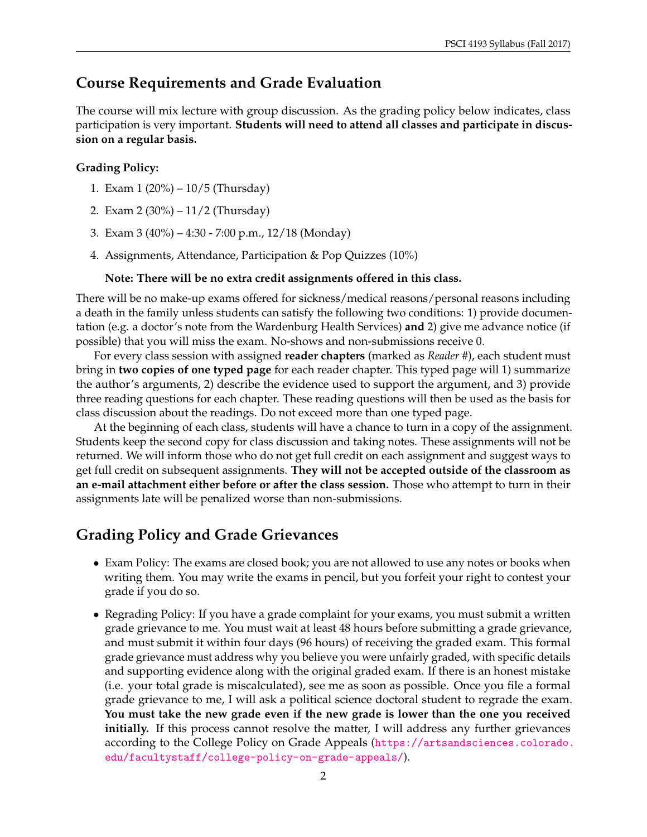## **Course Requirements and Grade Evaluation**

The course will mix lecture with group discussion. As the grading policy below indicates, class participation is very important. **Students will need to attend all classes and participate in discussion on a regular basis.**

### **Grading Policy:**

- 1. Exam 1 (20%) 10/5 (Thursday)
- 2. Exam 2 (30%) 11/2 (Thursday)
- 3. Exam 3 (40%) 4:30 7:00 p.m., 12/18 (Monday)
- 4. Assignments, Attendance, Participation & Pop Quizzes (10%)

#### **Note: There will be no extra credit assignments offered in this class.**

There will be no make-up exams offered for sickness/medical reasons/personal reasons including a death in the family unless students can satisfy the following two conditions: 1) provide documentation (e.g. a doctor's note from the Wardenburg Health Services) **and** 2) give me advance notice (if possible) that you will miss the exam. No-shows and non-submissions receive 0.

For every class session with assigned **reader chapters** (marked as *Reader #*), each student must bring in **two copies of one typed page** for each reader chapter. This typed page will 1) summarize the author's arguments, 2) describe the evidence used to support the argument, and 3) provide three reading questions for each chapter. These reading questions will then be used as the basis for class discussion about the readings. Do not exceed more than one typed page.

At the beginning of each class, students will have a chance to turn in a copy of the assignment. Students keep the second copy for class discussion and taking notes. These assignments will not be returned. We will inform those who do not get full credit on each assignment and suggest ways to get full credit on subsequent assignments. **They will not be accepted outside of the classroom as an e-mail attachment either before or after the class session.** Those who attempt to turn in their assignments late will be penalized worse than non-submissions.

## **Grading Policy and Grade Grievances**

- Exam Policy: The exams are closed book; you are not allowed to use any notes or books when writing them. You may write the exams in pencil, but you forfeit your right to contest your grade if you do so.
- Regrading Policy: If you have a grade complaint for your exams, you must submit a written grade grievance to me. You must wait at least 48 hours before submitting a grade grievance, and must submit it within four days (96 hours) of receiving the graded exam. This formal grade grievance must address why you believe you were unfairly graded, with specific details and supporting evidence along with the original graded exam. If there is an honest mistake (i.e. your total grade is miscalculated), see me as soon as possible. Once you file a formal grade grievance to me, I will ask a political science doctoral student to regrade the exam. **You must take the new grade even if the new grade is lower than the one you received initially.** If this process cannot resolve the matter, I will address any further grievances according to the College Policy on Grade Appeals ([https://artsandsciences.colorado.](https://artsandsciences.colorado.edu/facultystaff/college-policy-on-grade-appeals/) [edu/facultystaff/college-policy-on-grade-appeals/](https://artsandsciences.colorado.edu/facultystaff/college-policy-on-grade-appeals/)).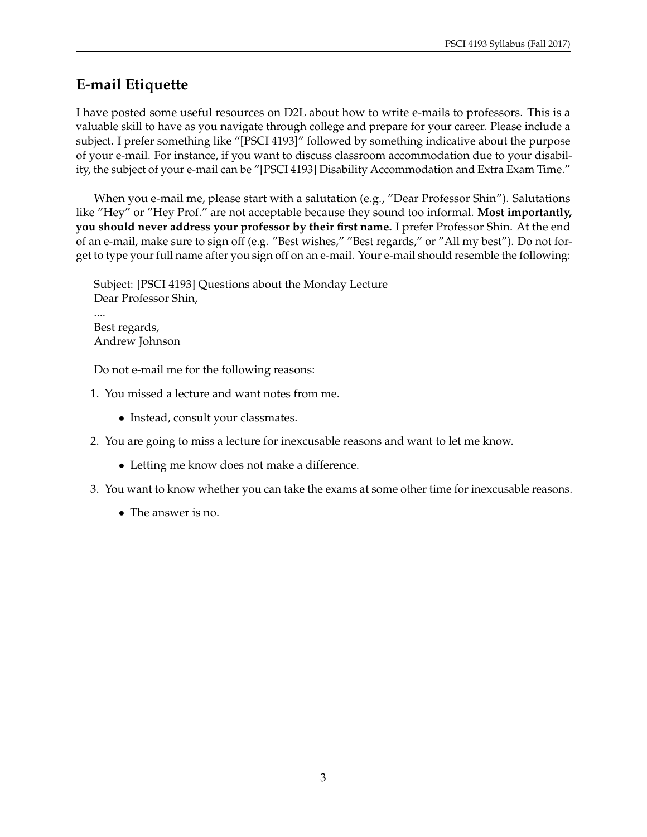## **E-mail Etiquette**

I have posted some useful resources on D2L about how to write e-mails to professors. This is a valuable skill to have as you navigate through college and prepare for your career. Please include a subject. I prefer something like "[PSCI 4193]" followed by something indicative about the purpose of your e-mail. For instance, if you want to discuss classroom accommodation due to your disability, the subject of your e-mail can be "[PSCI 4193] Disability Accommodation and Extra Exam Time."

When you e-mail me, please start with a salutation (e.g., "Dear Professor Shin"). Salutations like "Hey" or "Hey Prof." are not acceptable because they sound too informal. **Most importantly, you should never address your professor by their first name.** I prefer Professor Shin. At the end of an e-mail, make sure to sign off (e.g. "Best wishes," "Best regards," or "All my best"). Do not forget to type your full name after you sign off on an e-mail. Your e-mail should resemble the following:

Subject: [PSCI 4193] Questions about the Monday Lecture Dear Professor Shin, .... Best regards, Andrew Johnson

Do not e-mail me for the following reasons:

- 1. You missed a lecture and want notes from me.
	- Instead, consult your classmates.
- 2. You are going to miss a lecture for inexcusable reasons and want to let me know.
	- Letting me know does not make a difference.
- 3. You want to know whether you can take the exams at some other time for inexcusable reasons.
	- The answer is no.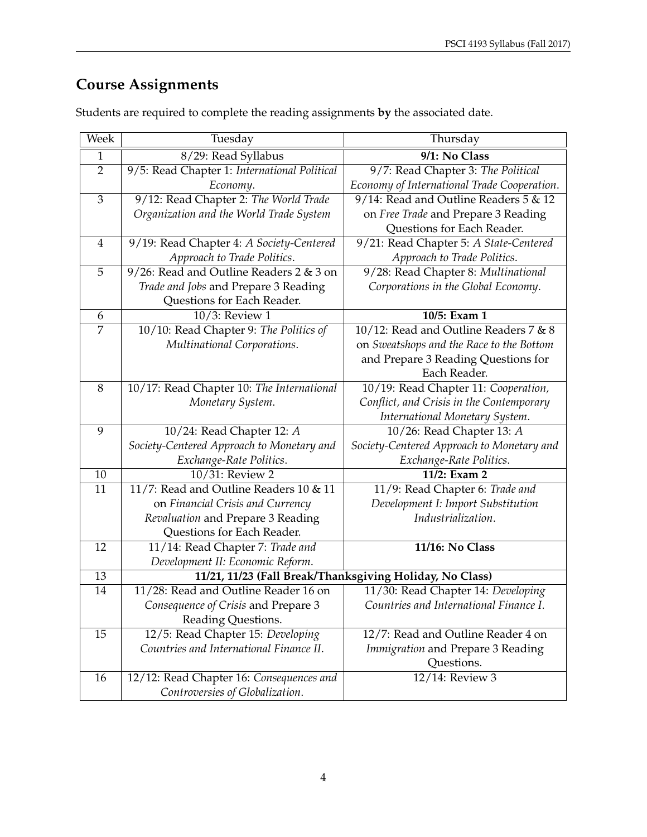# **Course Assignments**

| Week           | Tuesday                                      | Thursday                                                 |
|----------------|----------------------------------------------|----------------------------------------------------------|
| $\mathbf{1}$   | 8/29: Read Syllabus                          | 9/1: No Class                                            |
| $\overline{2}$ | 9/5: Read Chapter 1: International Political | 9/7: Read Chapter 3: The Political                       |
|                | Economy.                                     | Economy of International Trade Cooperation.              |
| 3              | 9/12: Read Chapter 2: The World Trade        | 9/14: Read and Outline Readers 5 & 12                    |
|                | Organization and the World Trade System      | on Free Trade and Prepare 3 Reading                      |
|                |                                              | Questions for Each Reader.                               |
| $\overline{4}$ | 9/19: Read Chapter 4: A Society-Centered     | 9/21: Read Chapter 5: A State-Centered                   |
|                | Approach to Trade Politics.                  | Approach to Trade Politics.                              |
| 5              | $9/26$ : Read and Outline Readers 2 & 3 on   | 9/28: Read Chapter 8: Multinational                      |
|                | Trade and Jobs and Prepare 3 Reading         | Corporations in the Global Economy.                      |
|                | Questions for Each Reader.                   |                                                          |
| 6              | 10/3: Review 1                               | 10/5: Exam 1                                             |
| 7              | 10/10: Read Chapter 9: The Politics of       | 10/12: Read and Outline Readers 7 & 8                    |
|                | Multinational Corporations.                  | on Sweatshops and the Race to the Bottom                 |
|                |                                              | and Prepare 3 Reading Questions for                      |
|                |                                              | Each Reader.                                             |
| 8              | 10/17: Read Chapter 10: The International    | 10/19: Read Chapter 11: Cooperation,                     |
|                | Monetary System.                             | Conflict, and Crisis in the Contemporary                 |
|                |                                              | International Monetary System.                           |
| $\overline{9}$ | 10/24: Read Chapter 12: A                    | 10/26: Read Chapter 13: A                                |
|                | Society-Centered Approach to Monetary and    | Society-Centered Approach to Monetary and                |
|                | Exchange-Rate Politics.                      | Exchange-Rate Politics.                                  |
| 10             | 10/31: Review 2                              | 11/2: Exam 2                                             |
| 11             | 11/7: Read and Outline Readers 10 & 11       | 11/9: Read Chapter 6: Trade and                          |
|                | on Financial Crisis and Currency             | Development I: Import Substitution                       |
|                | Revaluation and Prepare 3 Reading            | Industrialization.                                       |
|                | Questions for Each Reader.                   |                                                          |
| 12             | 11/14: Read Chapter 7: Trade and             | 11/16: No Class                                          |
|                | Development II: Economic Reform.             |                                                          |
| 13             |                                              | 11/21, 11/23 (Fall Break/Thanksgiving Holiday, No Class) |
| 14             | 11/28: Read and Outline Reader 16 on         | 11/30: Read Chapter 14: Developing                       |
|                | Consequence of Crisis and Prepare 3          | Countries and International Finance I.                   |
|                | Reading Questions.                           |                                                          |
| 15             | 12/5: Read Chapter 15: Developing            | 12/7: Read and Outline Reader 4 on                       |
|                | Countries and International Finance II.      | Immigration and Prepare 3 Reading                        |
|                |                                              | Questions.                                               |
| 16             | 12/12: Read Chapter 16: Consequences and     | 12/14: Review 3                                          |
|                | Controversies of Globalization.              |                                                          |

Students are required to complete the reading assignments **by** the associated date.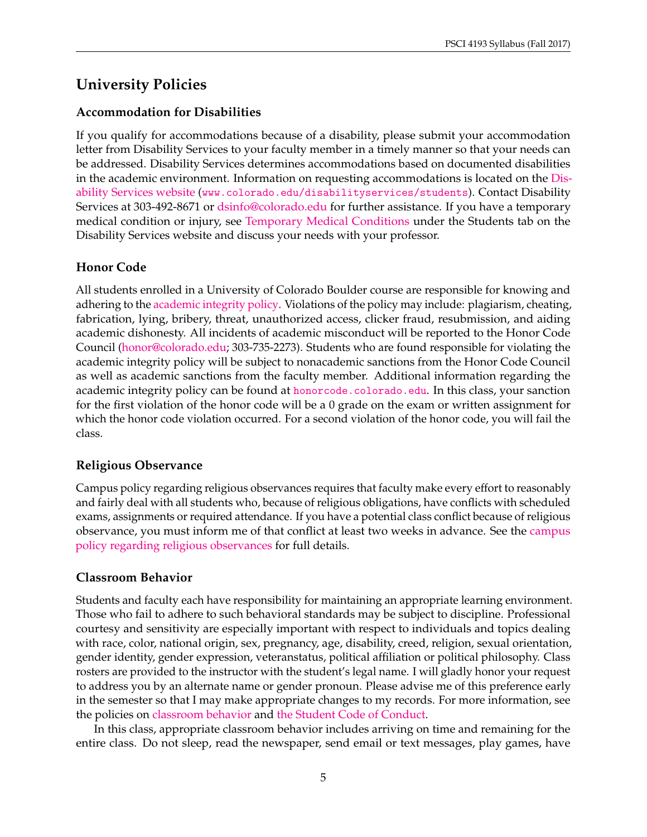# **University Policies**

### **Accommodation for Disabilities**

If you qualify for accommodations because of a disability, please submit your accommodation letter from Disability Services to your faculty member in a timely manner so that your needs can be addressed. Disability Services determines accommodations based on documented disabilities in the academic environment. Information on requesting accommodations is located on the [Dis](http://www.colorado.edu/disabilityservices/students)[ability Services website](http://www.colorado.edu/disabilityservices/students) (<www.colorado.edu/disabilityservices/students>). Contact Disability Services at 303-492-8671 or [dsinfo@colorado.edu](mailto:dsinfo@colorado.edu) for further assistance. If you have a temporary medical condition or injury, see [Temporary Medical Conditions](http://www.colorado.edu/disabilityservices/students/temporary-medical-conditions) under the Students tab on the Disability Services website and discuss your needs with your professor.

## **Honor Code**

All students enrolled in a University of Colorado Boulder course are responsible for knowing and adhering to the [academic integrity policy.](http://www.colorado.edu/policies/academic-integrity-policy) Violations of the policy may include: plagiarism, cheating, fabrication, lying, bribery, threat, unauthorized access, clicker fraud, resubmission, and aiding academic dishonesty. All incidents of academic misconduct will be reported to the Honor Code Council [\(honor@colorado.edu;](mailto:honor@colorado.edu) 303-735-2273). Students who are found responsible for violating the academic integrity policy will be subject to nonacademic sanctions from the Honor Code Council as well as academic sanctions from the faculty member. Additional information regarding the academic integrity policy can be found at <honorcode.colorado.edu>. In this class, your sanction for the first violation of the honor code will be a 0 grade on the exam or written assignment for which the honor code violation occurred. For a second violation of the honor code, you will fail the class.

### **Religious Observance**

Campus policy regarding religious observances requires that faculty make every effort to reasonably and fairly deal with all students who, because of religious obligations, have conflicts with scheduled exams, assignments or required attendance. If you have a potential class conflict because of religious observance, you must inform me of that conflict at least two weeks in advance. See the [campus](http://www.colorado.edu/policies/observance-religious-holidays-and-absences-classes-andor-exams) [policy regarding religious observances](http://www.colorado.edu/policies/observance-religious-holidays-and-absences-classes-andor-exams) for full details.

### **Classroom Behavior**

Students and faculty each have responsibility for maintaining an appropriate learning environment. Those who fail to adhere to such behavioral standards may be subject to discipline. Professional courtesy and sensitivity are especially important with respect to individuals and topics dealing with race, color, national origin, sex, pregnancy, age, disability, creed, religion, sexual orientation, gender identity, gender expression, veteranstatus, political affiliation or political philosophy. Class rosters are provided to the instructor with the student's legal name. I will gladly honor your request to address you by an alternate name or gender pronoun. Please advise me of this preference early in the semester so that I may make appropriate changes to my records. For more information, see the policies on [classroom behavior](http://www.colorado.edu/policies/student-classroom-and-course-related-behavior) and [the Student Code of Conduct.](http://www.colorado.edu/osccr/)

In this class, appropriate classroom behavior includes arriving on time and remaining for the entire class. Do not sleep, read the newspaper, send email or text messages, play games, have